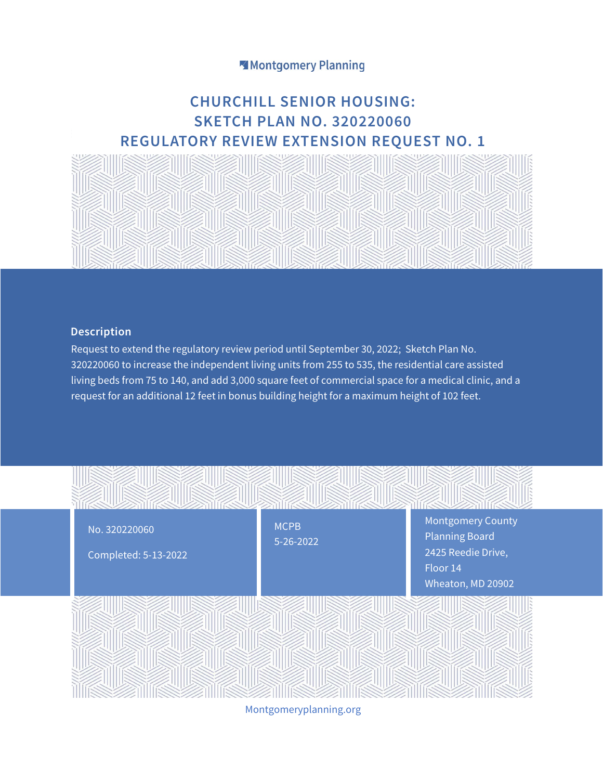## Montgomery Planning

# **CHURCHILL SENIOR HOUSING: SKETCH PLAN NO. 320220060 REGULATORY REVIEW EXTENSION REQUEST NO. 1**



### **Description**

Request to extend the regulatory review period until September 30, 2022; Sketch Plan No. 320220060 to increase the independent living units from 255 to 535, the residential care assisted living beds from 75 to 140, and add 3,000 square feet of commercial space for a medical clinic, and a request for an additional 12 feet in bonus building height for a maximum height of 102 feet.



Montgomeryplanning.org